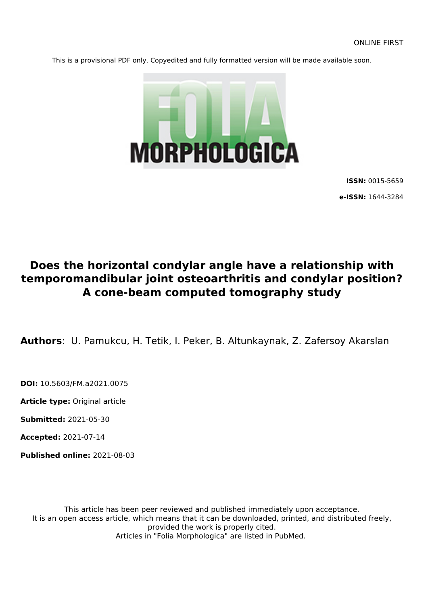This is a provisional PDF only. Copyedited and fully formatted version will be made available soon.



**ISSN:** 0015-5659 **e-ISSN:** 1644-3284

# **Does the horizontal condylar angle have a relationship with temporomandibular joint osteoarthritis and condylar position? A cone-beam computed tomography study**

**Authors**: U. Pamukcu, H. Tetik, I. Peker, B. Altunkaynak, Z. Zafersoy Akarslan

**DOI:** 10.5603/FM.a2021.0075

**Article type:** Original article

**Submitted:** 2021-05-30

**Accepted:** 2021-07-14

**Published online:** 2021-08-03

This article has been peer reviewed and published immediately upon acceptance. It is an open access article, which means that it can be downloaded, printed, and distributed freely, provided the work is properly cited. Articles in "Folia Morphologica" are listed in PubMed.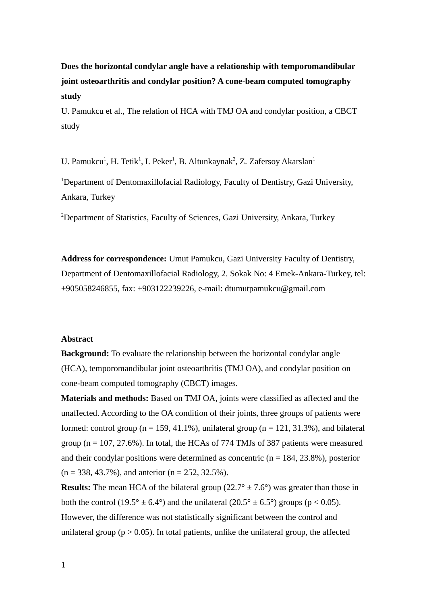## **Does the horizontal condylar angle have a relationship with temporomandibular joint osteoarthritis and condylar position? A cone-beam computed tomography study**

U. Pamukcu et al., The relation of HCA with TMJ OA and condylar position, a CBCT study

U. Pamukcu $^1$ , H. Tetik $^1$ , I. Peker $^1$ , B. Altunkaynak $^2$ , Z. Zafersoy Akarslan $^1$ 

<sup>1</sup>Department of Dentomaxillofacial Radiology, Faculty of Dentistry, Gazi University, Ankara, Turkey

<sup>2</sup>Department of Statistics, Faculty of Sciences, Gazi University, Ankara, Turkey

**Address for correspondence:** Umut Pamukcu, Gazi University Faculty of Dentistry, Department of Dentomaxillofacial Radiology, 2. Sokak No: 4 Emek-Ankara-Turkey, tel: +905058246855, fax: +903122239226, e-mail: dtumutpamukcu@gmail.com

#### **Abstract**

**Background:** To evaluate the relationship between the horizontal condylar angle (HCA), temporomandibular joint osteoarthritis (TMJ OA), and condylar position on cone-beam computed tomography (CBCT) images.

**Materials and methods:** Based on TMJ OA, joints were classified as affected and the unaffected. According to the OA condition of their joints, three groups of patients were formed: control group ( $n = 159, 41.1\%$ ), unilateral group ( $n = 121, 31.3\%$ ), and bilateral group ( $n = 107, 27.6\%$ ). In total, the HCAs of 774 TMJs of 387 patients were measured and their condylar positions were determined as concentric ( $n = 184, 23.8\%$ ), posterior  $(n = 338, 43.7\%)$ , and anterior  $(n = 252, 32.5\%)$ .

**Results:** The mean HCA of the bilateral group  $(22.7^{\circ} \pm 7.6^{\circ})$  was greater than those in both the control (19.5°  $\pm$  6.4°) and the unilateral (20.5°  $\pm$  6.5°) groups (p < 0.05). However, the difference was not statistically significant between the control and unilateral group ( $p > 0.05$ ). In total patients, unlike the unilateral group, the affected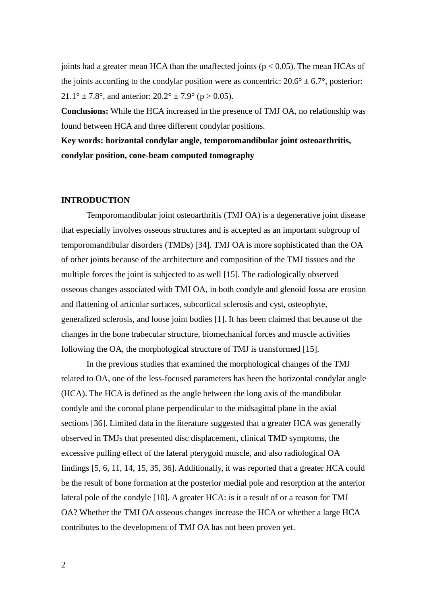joints had a greater mean HCA than the unaffected joints ( $p < 0.05$ ). The mean HCAs of the joints according to the condylar position were as concentric:  $20.6^{\circ} \pm 6.7^{\circ}$ , posterior:  $21.1^{\circ} \pm 7.8^{\circ}$ , and anterior:  $20.2^{\circ} \pm 7.9^{\circ}$  (p > 0.05).

**Conclusions:** While the HCA increased in the presence of TMJ OA, no relationship was found between HCA and three different condylar positions.

**Key words: horizontal condylar angle, temporomandibular joint osteoarthritis, condylar position, cone-beam computed tomography**

## **INTRODUCTION**

Temporomandibular joint osteoarthritis (TMJ OA) is a degenerative joint disease that especially involves osseous structures and is accepted as an important subgroup of temporomandibular disorders (TMDs) [34]. TMJ OA is more sophisticated than the OA of other joints because of the architecture and composition of the TMJ tissues and the multiple forces the joint is subjected to as well [15]. The radiologically observed osseous changes associated with TMJ OA, in both condyle and glenoid fossa are erosion and flattening of articular surfaces, subcortical sclerosis and cyst, osteophyte, generalized sclerosis, and loose joint bodies [1]. It has been claimed that because of the changes in the bone trabecular structure, biomechanical forces and muscle activities following the OA, the morphological structure of TMJ is transformed [15].

In the previous studies that examined the morphological changes of the TMJ related to OA, one of the less-focused parameters has been the horizontal condylar angle (HCA). The HCA is defined as the angle between the long axis of the mandibular condyle and the coronal plane perpendicular to the midsagittal plane in the axial sections [36]. Limited data in the literature suggested that a greater HCA was generally observed in TMJs that presented disc displacement, clinical TMD symptoms, the excessive pulling effect of the lateral pterygoid muscle, and also radiological OA findings [5, 6, 11, 14, 15, 35, 36]. Additionally, it was reported that a greater HCA could be the result of bone formation at the posterior medial pole and resorption at the anterior lateral pole of the condyle [10]. A greater HCA: is it a result of or a reason for TMJ OA? Whether the TMJ OA osseous changes increase the HCA or whether a large HCA contributes to the development of TMJ OA has not been proven yet.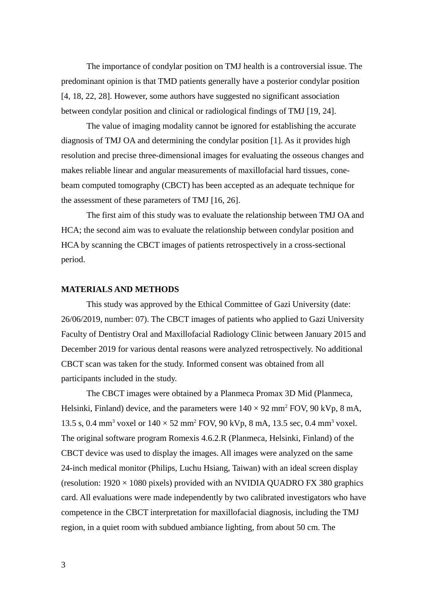The importance of condylar position on TMJ health is a controversial issue. The predominant opinion is that TMD patients generally have a posterior condylar position [4, 18, 22, 28]. However, some authors have suggested no significant association between condylar position and clinical or radiological findings of TMJ [19, 24].

The value of imaging modality cannot be ignored for establishing the accurate diagnosis of TMJ OA and determining the condylar position [1]. As it provides high resolution and precise three-dimensional images for evaluating the osseous changes and makes reliable linear and angular measurements of maxillofacial hard tissues, conebeam computed tomography (CBCT) has been accepted as an adequate technique for the assessment of these parameters of TMJ [16, 26].

The first aim of this study was to evaluate the relationship between TMJ OA and HCA; the second aim was to evaluate the relationship between condylar position and HCA by scanning the CBCT images of patients retrospectively in a cross-sectional period.

## **MATERIALS AND METHODS**

This study was approved by the Ethical Committee of Gazi University (date: 26/06/2019, number: 07). The CBCT images of patients who applied to Gazi University Faculty of Dentistry Oral and Maxillofacial Radiology Clinic between January 2015 and December 2019 for various dental reasons were analyzed retrospectively. No additional CBCT scan was taken for the study. Informed consent was obtained from all participants included in the study.

The CBCT images were obtained by a Planmeca Promax 3D Mid (Planmeca, Helsinki, Finland) device, and the parameters were  $140 \times 92$  mm<sup>2</sup> FOV, 90 kVp, 8 mA, 13.5 s, 0.4 mm<sup>3</sup> voxel or  $140 \times 52$  mm<sup>2</sup> FOV, 90 kVp, 8 mA, 13.5 sec, 0.4 mm<sup>3</sup> voxel. The original software program Romexis 4.6.2.R (Planmeca, Helsinki, Finland) of the CBCT device was used to display the images. All images were analyzed on the same 24-inch medical monitor (Philips, Luchu Hsiang, Taiwan) with an ideal screen display (resolution:  $1920 \times 1080$  pixels) provided with an NVIDIA QUADRO FX 380 graphics card. All evaluations were made independently by two calibrated investigators who have competence in the CBCT interpretation for maxillofacial diagnosis, including the TMJ region, in a quiet room with subdued ambiance lighting, from about 50 cm. The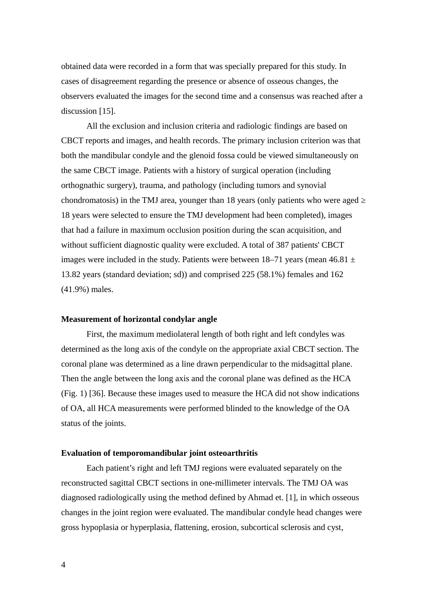obtained data were recorded in a form that was specially prepared for this study. In cases of disagreement regarding the presence or absence of osseous changes, the observers evaluated the images for the second time and a consensus was reached after a discussion [15].

All the exclusion and inclusion criteria and radiologic findings are based on CBCT reports and images, and health records. The primary inclusion criterion was that both the mandibular condyle and the glenoid fossa could be viewed simultaneously on the same CBCT image. Patients with a history of surgical operation (including orthognathic surgery), trauma, and pathology (including tumors and synovial chondromatosis) in the TMJ area, younger than 18 years (only patients who were aged  $\geq$ 18 years were selected to ensure the TMJ development had been completed), images that had a failure in maximum occlusion position during the scan acquisition, and without sufficient diagnostic quality were excluded. A total of 387 patients' CBCT images were included in the study. Patients were between  $18-71$  years (mean  $46.81 \pm$ 13.82 years (standard deviation; sd)) and comprised 225 (58.1%) females and 162 (41.9%) males.

#### **Measurement of horizontal condylar angle**

First, the maximum mediolateral length of both right and left condyles was determined as the long axis of the condyle on the appropriate axial CBCT section. The coronal plane was determined as a line drawn perpendicular to the midsagittal plane. Then the angle between the long axis and the coronal plane was defined as the HCA (Fig. 1) [36]. Because these images used to measure the HCA did not show indications of OA, all HCA measurements were performed blinded to the knowledge of the OA status of the joints.

## **Evaluation of temporomandibular joint osteoarthritis**

Each patient's right and left TMJ regions were evaluated separately on the reconstructed sagittal CBCT sections in one-millimeter intervals. The TMJ OA was diagnosed radiologically using the method defined by Ahmad et. [1], in which osseous changes in the joint region were evaluated. The mandibular condyle head changes were gross hypoplasia or hyperplasia, flattening, erosion, subcortical sclerosis and cyst,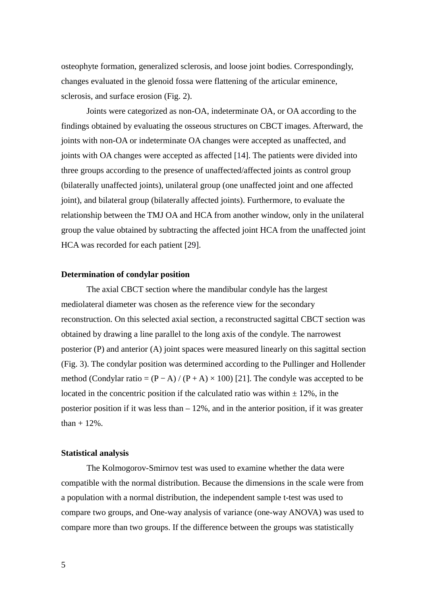osteophyte formation, generalized sclerosis, and loose joint bodies. Correspondingly, changes evaluated in the glenoid fossa were flattening of the articular eminence, sclerosis, and surface erosion (Fig. 2).

Joints were categorized as non-OA, indeterminate OA, or OA according to the findings obtained by evaluating the osseous structures on CBCT images. Afterward, the joints with non-OA or indeterminate OA changes were accepted as unaffected, and joints with OA changes were accepted as affected [14]. The patients were divided into three groups according to the presence of unaffected/affected joints as control group (bilaterally unaffected joints), unilateral group (one unaffected joint and one affected joint), and bilateral group (bilaterally affected joints). Furthermore, to evaluate the relationship between the TMJ OA and HCA from another window, only in the unilateral group the value obtained by subtracting the affected joint HCA from the unaffected joint HCA was recorded for each patient [29].

#### **Determination of condylar position**

The axial CBCT section where the mandibular condyle has the largest mediolateral diameter was chosen as the reference view for the secondary reconstruction. On this selected axial section, a reconstructed sagittal CBCT section was obtained by drawing a line parallel to the long axis of the condyle. The narrowest posterior (P) and anterior (A) joint spaces were measured linearly on this sagittal section (Fig. 3). The condylar position was determined according to the Pullinger and Hollender method (Condylar ratio =  $(P - A) / (P + A) \times 100$ ) [21]. The condyle was accepted to be located in the concentric position if the calculated ratio was within  $\pm$  12%, in the posterior position if it was less than  $-12\%$ , and in the anterior position, if it was greater than  $+$  12%.

## **Statistical analysis**

The Kolmogorov-Smirnov test was used to examine whether the data were compatible with the normal distribution. Because the dimensions in the scale were from a population with a normal distribution, the independent sample t-test was used to compare two groups, and One-way analysis of variance (one-way ANOVA) was used to compare more than two groups. If the difference between the groups was statistically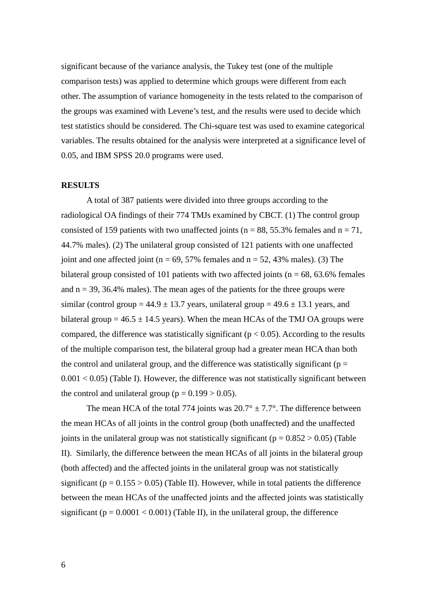significant because of the variance analysis, the Tukey test (one of the multiple comparison tests) was applied to determine which groups were different from each other. The assumption of variance homogeneity in the tests related to the comparison of the groups was examined with Levene's test, and the results were used to decide which test statistics should be considered. The Chi-square test was used to examine categorical variables. The results obtained for the analysis were interpreted at a significance level of 0.05, and IBM SPSS 20.0 programs were used.

#### **RESULTS**

A total of 387 patients were divided into three groups according to the radiological OA findings of their 774 TMJs examined by CBCT. (1) The control group consisted of 159 patients with two unaffected joints ( $n = 88$ , 55.3% females and  $n = 71$ , 44.7% males). (2) The unilateral group consisted of 121 patients with one unaffected joint and one affected joint ( $n = 69$ , 57% females and  $n = 52$ , 43% males). (3) The bilateral group consisted of 101 patients with two affected joints ( $n = 68$ , 63.6% females and  $n = 39$ , 36.4% males). The mean ages of the patients for the three groups were similar (control group =  $44.9 \pm 13.7$  years, unilateral group =  $49.6 \pm 13.1$  years, and bilateral group =  $46.5 \pm 14.5$  years). When the mean HCAs of the TMJ OA groups were compared, the difference was statistically significant ( $p \le 0.05$ ). According to the results of the multiple comparison test, the bilateral group had a greater mean HCA than both the control and unilateral group, and the difference was statistically significant ( $p =$ 0.001 < 0.05) (Table I). However, the difference was not statistically significant between the control and unilateral group ( $p = 0.199 > 0.05$ ).

The mean HCA of the total 774 joints was  $20.7^{\circ} \pm 7.7^{\circ}$ . The difference between the mean HCAs of all joints in the control group (both unaffected) and the unaffected joints in the unilateral group was not statistically significant ( $p = 0.852 > 0.05$ ) (Table II). Similarly, the difference between the mean HCAs of all joints in the bilateral group (both affected) and the affected joints in the unilateral group was not statistically significant ( $p = 0.155 > 0.05$ ) (Table II). However, while in total patients the difference between the mean HCAs of the unaffected joints and the affected joints was statistically significant ( $p = 0.0001 < 0.001$ ) (Table II), in the unilateral group, the difference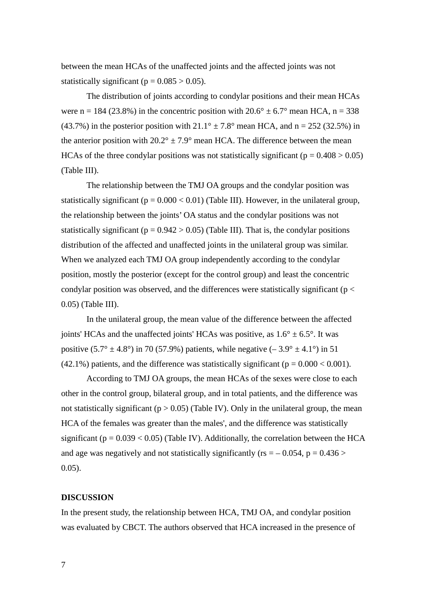between the mean HCAs of the unaffected joints and the affected joints was not statistically significant ( $p = 0.085 > 0.05$ ).

The distribution of joints according to condylar positions and their mean HCAs were n = 184 (23.8%) in the concentric position with  $20.6^{\circ} \pm 6.7^{\circ}$  mean HCA, n = 338 (43.7%) in the posterior position with  $21.1^{\circ} \pm 7.8^{\circ}$  mean HCA, and n = 252 (32.5%) in the anterior position with  $20.2^{\circ} \pm 7.9^{\circ}$  mean HCA. The difference between the mean HCAs of the three condylar positions was not statistically significant ( $p = 0.408 > 0.05$ ) (Table III).

The relationship between the TMJ OA groups and the condylar position was statistically significant ( $p = 0.000 \le 0.01$ ) (Table III). However, in the unilateral group, the relationship between the joints' OA status and the condylar positions was not statistically significant ( $p = 0.942 > 0.05$ ) (Table III). That is, the condylar positions distribution of the affected and unaffected joints in the unilateral group was similar. When we analyzed each TMJ OA group independently according to the condylar position, mostly the posterior (except for the control group) and least the concentric condylar position was observed, and the differences were statistically significant ( $p <$ 0.05) (Table III).

In the unilateral group, the mean value of the difference between the affected joints' HCAs and the unaffected joints' HCAs was positive, as  $1.6^{\circ} \pm 6.5^{\circ}$ . It was positive (5.7°  $\pm$  4.8°) in 70 (57.9%) patients, while negative (– 3.9°  $\pm$  4.1°) in 51 (42.1%) patients, and the difference was statistically significant ( $p = 0.000 < 0.001$ ).

According to TMJ OA groups, the mean HCAs of the sexes were close to each other in the control group, bilateral group, and in total patients, and the difference was not statistically significant ( $p > 0.05$ ) (Table IV). Only in the unilateral group, the mean HCA of the females was greater than the males', and the difference was statistically significant ( $p = 0.039 \le 0.05$ ) (Table IV). Additionally, the correlation between the HCA and age was negatively and not statistically significantly ( $rs = -0.054$ ,  $p = 0.436$ ) 0.05).

#### **DISCUSSION**

In the present study, the relationship between HCA, TMJ OA, and condylar position was evaluated by CBCT. The authors observed that HCA increased in the presence of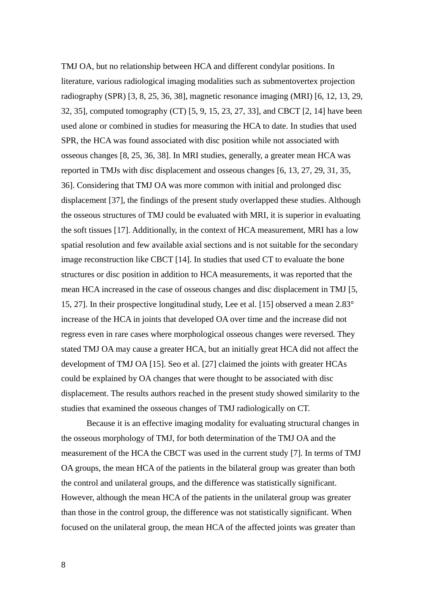TMJ OA, but no relationship between HCA and different condylar positions. In literature, various radiological imaging modalities such as submentovertex projection radiography (SPR) [3, 8, 25, 36, 38], magnetic resonance imaging (MRI) [6, 12, 13, 29, 32, 35], computed tomography (CT) [5, 9, 15, 23, 27, 33], and CBCT [2, 14] have been used alone or combined in studies for measuring the HCA to date. In studies that used SPR, the HCA was found associated with disc position while not associated with osseous changes [8, 25, 36, 38]. In MRI studies, generally, a greater mean HCA was reported in TMJs with disc displacement and osseous changes [6, 13, 27, 29, 31, 35, 36]. Considering that TMJ OA was more common with initial and prolonged disc displacement [37], the findings of the present study overlapped these studies. Although the osseous structures of TMJ could be evaluated with MRI, it is superior in evaluating the soft tissues [17]. Additionally, in the context of HCA measurement, MRI has a low spatial resolution and few available axial sections and is not suitable for the secondary image reconstruction like CBCT [14]. In studies that used CT to evaluate the bone structures or disc position in addition to HCA measurements, it was reported that the mean HCA increased in the case of osseous changes and disc displacement in TMJ [5, 15, 27]. In their prospective longitudinal study, Lee et al. [15] observed a mean  $2.83^{\circ}$ increase of the HCA in joints that developed OA over time and the increase did not regress even in rare cases where morphological osseous changes were reversed. They stated TMJ OA may cause a greater HCA, but an initially great HCA did not affect the development of TMJ OA [15]. Seo et al. [27] claimed the joints with greater HCAs could be explained by OA changes that were thought to be associated with disc displacement. The results authors reached in the present study showed similarity to the studies that examined the osseous changes of TMJ radiologically on CT.

Because it is an effective imaging modality for evaluating structural changes in the osseous morphology of TMJ, for both determination of the TMJ OA and the measurement of the HCA the CBCT was used in the current study [7]. In terms of TMJ OA groups, the mean HCA of the patients in the bilateral group was greater than both the control and unilateral groups, and the difference was statistically significant. However, although the mean HCA of the patients in the unilateral group was greater than those in the control group, the difference was not statistically significant. When focused on the unilateral group, the mean HCA of the affected joints was greater than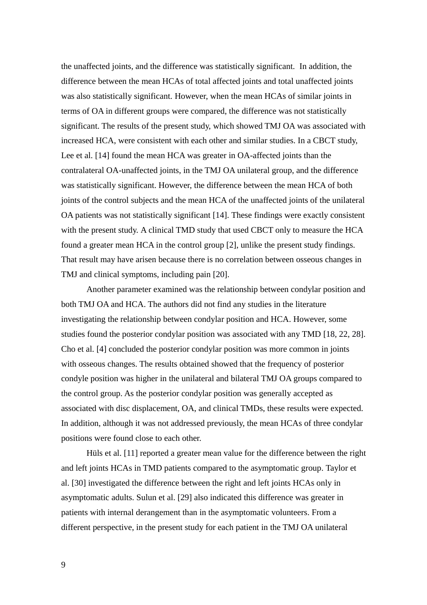the unaffected joints, and the difference was statistically significant. In addition, the difference between the mean HCAs of total affected joints and total unaffected joints was also statistically significant. However, when the mean HCAs of similar joints in terms of OA in different groups were compared, the difference was not statistically significant. The results of the present study, which showed TMJ OA was associated with increased HCA, were consistent with each other and similar studies. In a CBCT study, Lee et al. [14] found the mean HCA was greater in OA-affected joints than the contralateral OA-unaffected joints, in the TMJ OA unilateral group, and the difference was statistically significant. However, the difference between the mean HCA of both joints of the control subjects and the mean HCA of the unaffected joints of the unilateral OA patients was not statistically significant [14]. These findings were exactly consistent with the present study. A clinical TMD study that used CBCT only to measure the HCA found a greater mean HCA in the control group [2], unlike the present study findings. That result may have arisen because there is no correlation between osseous changes in TMJ and clinical symptoms, including pain [20].

Another parameter examined was the relationship between condylar position and both TMJ OA and HCA. The authors did not find any studies in the literature investigating the relationship between condylar position and HCA. However, some studies found the posterior condylar position was associated with any TMD [18, 22, 28]. Cho et al. [4] concluded the posterior condylar position was more common in joints with osseous changes. The results obtained showed that the frequency of posterior condyle position was higher in the unilateral and bilateral TMJ OA groups compared to the control group. As the posterior condylar position was generally accepted as associated with disc displacement, OA, and clinical TMDs, these results were expected. In addition, although it was not addressed previously, the mean HCAs of three condylar positions were found close to each other.

Hüls et al. [11] reported a greater mean value for the difference between the right and left joints HCAs in TMD patients compared to the asymptomatic group. Taylor et al. [30] investigated the difference between the right and left joints HCAs only in asymptomatic adults. Sulun et al. [29] also indicated this difference was greater in patients with internal derangement than in the asymptomatic volunteers. From a different perspective, in the present study for each patient in the TMJ OA unilateral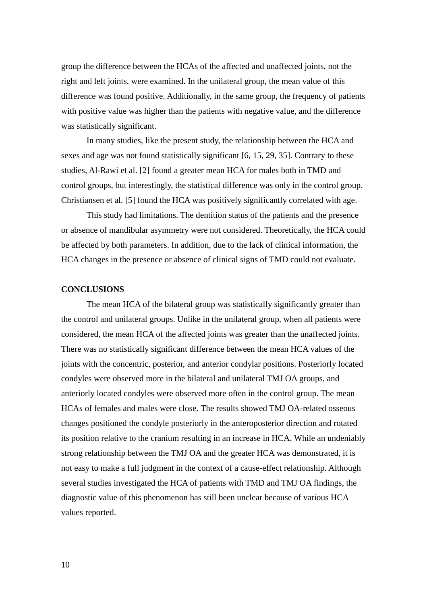group the difference between the HCAs of the affected and unaffected joints, not the right and left joints, were examined. In the unilateral group, the mean value of this difference was found positive. Additionally, in the same group, the frequency of patients with positive value was higher than the patients with negative value, and the difference was statistically significant.

In many studies, like the present study, the relationship between the HCA and sexes and age was not found statistically significant [6, 15, 29, 35]. Contrary to these studies, Al-Rawi et al. [2] found a greater mean HCA for males both in TMD and control groups, but interestingly, the statistical difference was only in the control group. Christiansen et al. [5] found the HCA was positively significantly correlated with age.

This study had limitations. The dentition status of the patients and the presence or absence of mandibular asymmetry were not considered. Theoretically, the HCA could be affected by both parameters. In addition, due to the lack of clinical information, the HCA changes in the presence or absence of clinical signs of TMD could not evaluate.

## **CONCLUSIONS**

The mean HCA of the bilateral group was statistically significantly greater than the control and unilateral groups. Unlike in the unilateral group, when all patients were considered, the mean HCA of the affected joints was greater than the unaffected joints. There was no statistically significant difference between the mean HCA values of the joints with the concentric, posterior, and anterior condylar positions. Posteriorly located condyles were observed more in the bilateral and unilateral TMJ OA groups, and anteriorly located condyles were observed more often in the control group. The mean HCAs of females and males were close. The results showed TMJ OA-related osseous changes positioned the condyle posteriorly in the anteroposterior direction and rotated its position relative to the cranium resulting in an increase in HCA. While an undeniably strong relationship between the TMJ OA and the greater HCA was demonstrated, it is not easy to make a full judgment in the context of a cause-effect relationship. Although several studies investigated the HCA of patients with TMD and TMJ OA findings, the diagnostic value of this phenomenon has still been unclear because of various HCA values reported.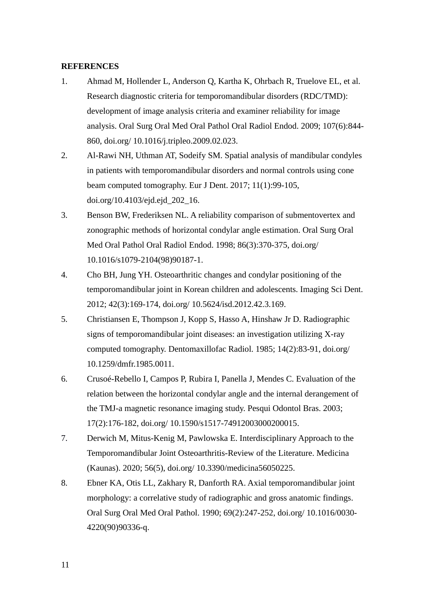## **REFERENCES**

- 1. Ahmad M, Hollender L, Anderson Q, Kartha K, Ohrbach R, Truelove EL, et al. Research diagnostic criteria for temporomandibular disorders (RDC/TMD): development of image analysis criteria and examiner reliability for image analysis. Oral Surg Oral Med Oral Pathol Oral Radiol Endod. 2009; 107(6):844- 860, doi.org/ 10.1016/j.tripleo.2009.02.023.
- 2. Al-Rawi NH, Uthman AT, Sodeify SM. Spatial analysis of mandibular condyles in patients with temporomandibular disorders and normal controls using cone beam computed tomography. Eur J Dent. 2017; 11(1):99-105, doi.org/10.4103/ejd.ejd\_202\_16.
- 3. Benson BW, Frederiksen NL. A reliability comparison of submentovertex and zonographic methods of horizontal condylar angle estimation. Oral Surg Oral Med Oral Pathol Oral Radiol Endod. 1998; 86(3):370-375, doi.org/ 10.1016/s1079-2104(98)90187-1.
- 4. Cho BH, Jung YH. Osteoarthritic changes and condylar positioning of the temporomandibular joint in Korean children and adolescents. Imaging Sci Dent. 2012; 42(3):169-174, doi.org/ 10.5624/isd.2012.42.3.169.
- 5. Christiansen E, Thompson J, Kopp S, Hasso A, Hinshaw Jr D. Radiographic signs of temporomandibular joint diseases: an investigation utilizing X-ray computed tomography. Dentomaxillofac Radiol. 1985; 14(2):83-91, doi.org/ 10.1259/dmfr.1985.0011.
- 6. Crusoé-Rebello I, Campos P, Rubira I, Panella J, Mendes C. Evaluation of the relation between the horizontal condylar angle and the internal derangement of the TMJ-a magnetic resonance imaging study. Pesqui Odontol Bras. 2003; 17(2):176-182, doi.org/ 10.1590/s1517-74912003000200015.
- 7. Derwich M, Mitus-Kenig M, Pawlowska E. Interdisciplinary Approach to the Temporomandibular Joint Osteoarthritis-Review of the Literature. Medicina (Kaunas). 2020; 56(5), doi.org/ 10.3390/medicina56050225.
- 8. Ebner KA, Otis LL, Zakhary R, Danforth RA. Axial temporomandibular joint morphology: a correlative study of radiographic and gross anatomic findings. Oral Surg Oral Med Oral Pathol. 1990; 69(2):247-252, doi.org/ 10.1016/0030- 4220(90)90336-q.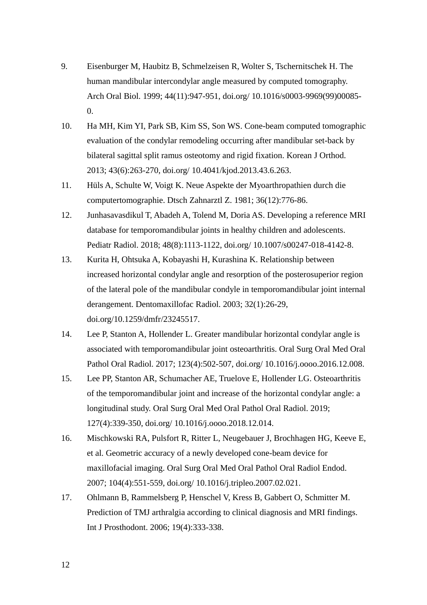- 9. Eisenburger M, Haubitz B, Schmelzeisen R, Wolter S, Tschernitschek H. The human mandibular intercondylar angle measured by computed tomography. Arch Oral Biol. 1999; 44(11):947-951, doi.org/ 10.1016/s0003-9969(99)00085-  $\overline{0}$ .
- 10. Ha MH, Kim YI, Park SB, Kim SS, Son WS. Cone-beam computed tomographic evaluation of the condylar remodeling occurring after mandibular set-back by bilateral sagittal split ramus osteotomy and rigid fixation. Korean J Orthod. 2013; 43(6):263-270, doi.org/ 10.4041/kjod.2013.43.6.263.
- 11. Hüls A, Schulte W, Voigt K. Neue Aspekte der Myoarthropathien durch die computertomographie. Dtsch Zahnarztl Z. 1981; 36(12):776-86.
- 12. Junhasavasdikul T, Abadeh A, Tolend M, Doria AS. Developing a reference MRI database for temporomandibular joints in healthy children and adolescents. Pediatr Radiol. 2018; 48(8):1113-1122, doi.org/ 10.1007/s00247-018-4142-8.
- 13. Kurita H, Ohtsuka A, Kobayashi H, Kurashina K. Relationship between increased horizontal condylar angle and resorption of the posterosuperior region of the lateral pole of the mandibular condyle in temporomandibular joint internal derangement. Dentomaxillofac Radiol. 2003; 32(1):26-29, doi.org/10.1259/dmfr/23245517.
- 14. Lee P, Stanton A, Hollender L. Greater mandibular horizontal condylar angle is associated with temporomandibular joint osteoarthritis. Oral Surg Oral Med Oral Pathol Oral Radiol. 2017; 123(4):502-507, doi.org/ 10.1016/j.oooo.2016.12.008.
- 15. Lee PP, Stanton AR, Schumacher AE, Truelove E, Hollender LG. Osteoarthritis of the temporomandibular joint and increase of the horizontal condylar angle: a longitudinal study. Oral Surg Oral Med Oral Pathol Oral Radiol. 2019; 127(4):339-350, doi.org/ 10.1016/j.oooo.2018.12.014.
- 16. Mischkowski RA, Pulsfort R, Ritter L, Neugebauer J, Brochhagen HG, Keeve E, et al. Geometric accuracy of a newly developed cone-beam device for maxillofacial imaging. Oral Surg Oral Med Oral Pathol Oral Radiol Endod. 2007; 104(4):551-559, doi.org/ 10.1016/j.tripleo.2007.02.021.
- 17. Ohlmann B, Rammelsberg P, Henschel V, Kress B, Gabbert O, Schmitter M. Prediction of TMJ arthralgia according to clinical diagnosis and MRI findings. Int J Prosthodont. 2006; 19(4):333-338.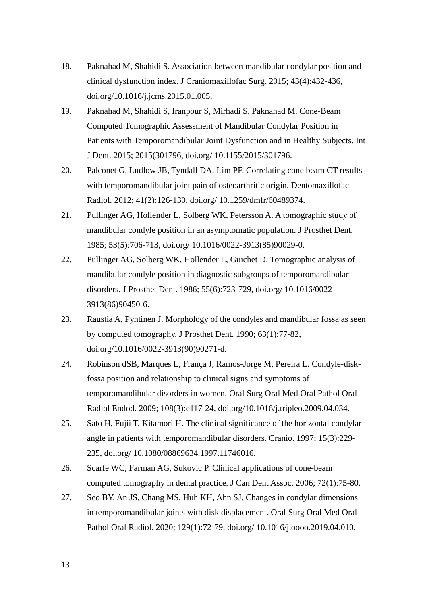- 18. Paknahad M, Shahidi S. Association between mandibular condylar position and clinical dysfunction index. J Craniomaxillofac Surg. 2015; 43(4):432-436, doi.org/10.1016/j.jcms.2015.01.005.
- 19. Paknahad M, Shahidi S, Iranpour S, Mirhadi S, Paknahad M. Cone-Beam Computed Tomographic Assessment of Mandibular Condylar Position in Patients with Temporomandibular Joint Dysfunction and in Healthy Subjects. Int J Dent. 2015; 2015(301796, doi.org/ 10.1155/2015/301796.
- 20. Palconet G, Ludlow JB, Tyndall DA, Lim PF. Correlating cone beam CT results with temporomandibular joint pain of osteoarthritic origin. Dentomaxillofac Radiol. 2012; 41(2):126-130, doi.org/ 10.1259/dmfr/60489374.
- 21. Pullinger AG, Hollender L, Solberg WK, Petersson A. A tomographic study of mandibular condyle position in an asymptomatic population. J Prosthet Dent. 1985; 53(5):706-713, doi.org/ 10.1016/0022-3913(85)90029-0.
- 22. Pullinger AG, Solberg WK, Hollender L, Guichet D. Tomographic analysis of mandibular condyle position in diagnostic subgroups of temporomandibular disorders. J Prosthet Dent. 1986; 55(6):723-729, doi.org/ 10.1016/0022- 3913(86)90450-6.
- 23. Raustia A, Pyhtinen J. Morphology of the condyles and mandibular fossa as seen by computed tomography. J Prosthet Dent. 1990; 63(1):77-82, doi.org/10.1016/0022-3913(90)90271-d.
- 24. Robinson dSB, Marques L, França J, Ramos-Jorge M, Pereira L. Condyle-diskfossa position and relationship to clinical signs and symptoms of temporomandibular disorders in women. Oral Surg Oral Med Oral Pathol Oral Radiol Endod. 2009; 108(3):e117-24, doi.org/10.1016/j.tripleo.2009.04.034.
- 25. Sato H, Fujii T, Kitamori H. The clinical significance of the horizontal condylar angle in patients with temporomandibular disorders. Cranio. 1997; 15(3):229- 235, doi.org/ 10.1080/08869634.1997.11746016.
- 26. Scarfe WC, Farman AG, Sukovic P. Clinical applications of cone-beam computed tomography in dental practice. J Can Dent Assoc. 2006; 72(1):75-80.
- 27. Seo BY, An JS, Chang MS, Huh KH, Ahn SJ. Changes in condylar dimensions in temporomandibular joints with disk displacement. Oral Surg Oral Med Oral Pathol Oral Radiol. 2020; 129(1):72-79, doi.org/ 10.1016/j.oooo.2019.04.010.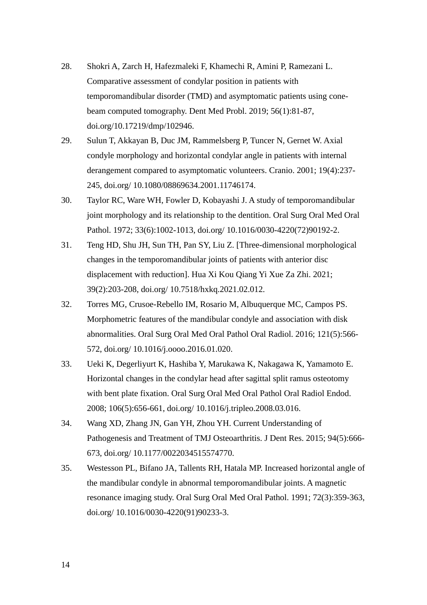- 28. Shokri A, Zarch H, Hafezmaleki F, Khamechi R, Amini P, Ramezani L. Comparative assessment of condylar position in patients with temporomandibular disorder (TMD) and asymptomatic patients using conebeam computed tomography. Dent Med Probl. 2019; 56(1):81-87, doi.org/10.17219/dmp/102946.
- 29. Sulun T, Akkayan B, Duc JM, Rammelsberg P, Tuncer N, Gernet W. Axial condyle morphology and horizontal condylar angle in patients with internal derangement compared to asymptomatic volunteers. Cranio. 2001; 19(4):237- 245, doi.org/ 10.1080/08869634.2001.11746174.
- 30. Taylor RC, Ware WH, Fowler D, Kobayashi J. A study of temporomandibular joint morphology and its relationship to the dentition. Oral Surg Oral Med Oral Pathol. 1972; 33(6):1002-1013, doi.org/ 10.1016/0030-4220(72)90192-2.
- 31. Teng HD, Shu JH, Sun TH, Pan SY, Liu Z. [Three-dimensional morphological changes in the temporomandibular joints of patients with anterior disc displacement with reduction]. Hua Xi Kou Qiang Yi Xue Za Zhi. 2021; 39(2):203-208, doi.org/ 10.7518/hxkq.2021.02.012.
- 32. Torres MG, Crusoe-Rebello IM, Rosario M, Albuquerque MC, Campos PS. Morphometric features of the mandibular condyle and association with disk abnormalities. Oral Surg Oral Med Oral Pathol Oral Radiol. 2016; 121(5):566- 572, doi.org/ 10.1016/j.oooo.2016.01.020.
- 33. Ueki K, Degerliyurt K, Hashiba Y, Marukawa K, Nakagawa K, Yamamoto E. Horizontal changes in the condylar head after sagittal split ramus osteotomy with bent plate fixation. Oral Surg Oral Med Oral Pathol Oral Radiol Endod. 2008; 106(5):656-661, doi.org/ 10.1016/j.tripleo.2008.03.016.
- 34. Wang XD, Zhang JN, Gan YH, Zhou YH. Current Understanding of Pathogenesis and Treatment of TMJ Osteoarthritis. J Dent Res. 2015; 94(5):666- 673, doi.org/ 10.1177/0022034515574770.
- 35. Westesson PL, Bifano JA, Tallents RH, Hatala MP. Increased horizontal angle of the mandibular condyle in abnormal temporomandibular joints. A magnetic resonance imaging study. Oral Surg Oral Med Oral Pathol. 1991; 72(3):359-363, doi.org/ 10.1016/0030-4220(91)90233-3.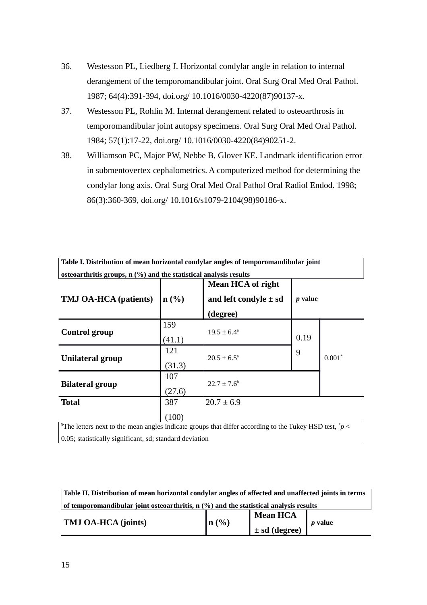- 36. Westesson PL, Liedberg J. Horizontal condylar angle in relation to internal derangement of the temporomandibular joint. Oral Surg Oral Med Oral Pathol. 1987; 64(4):391-394, doi.org/ 10.1016/0030-4220(87)90137-x.
- 37. Westesson PL, Rohlin M. Internal derangement related to osteoarthrosis in temporomandibular joint autopsy specimens. Oral Surg Oral Med Oral Pathol. 1984; 57(1):17-22, doi.org/ 10.1016/0030-4220(84)90251-2.
- 38. Williamson PC, Major PW, Nebbe B, Glover KE. Landmark identification error in submentovertex cephalometrics. A computerized method for determining the condylar long axis. Oral Surg Oral Med Oral Pathol Oral Radiol Endod. 1998; 86(3):360-369, doi.org/ 10.1016/s1079-2104(98)90186-x.

| Table I. Distribution of mean horizontal condylar angles of temporomandibular joint |
|-------------------------------------------------------------------------------------|
| osteoarthritis groups, $n$ (%) and the statistical analysis results                 |

| <b>TMJ OA-HCA (patients)</b> | n(%)          | <b>Mean HCA of right</b><br>and left condyle $\pm$ sd<br>(degree) | <i>p</i> value |          |
|------------------------------|---------------|-------------------------------------------------------------------|----------------|----------|
| <b>Control group</b>         | 159<br>(41.1) | $19.5 \pm 6.4^{\circ}$                                            | 0.19           |          |
| Unilateral group             | 121<br>(31.3) | $20.5 \pm 6.5^{\circ}$                                            | 9              | $0.001*$ |
| <b>Bilateral group</b>       | 107<br>(27.6) | $22.7 \pm 7.6^{\rm b}$                                            |                |          |
| <b>Total</b>                 | 387<br>(100)  | $20.7 \pm 6.9$                                                    |                |          |

 $\mathbb{P}^*$ The letters next to the mean angles indicate groups that differ according to the Tukey HSD test,  $\mathbb{P}$   $\leq$ 0.05; statistically significant, sd; standard deviation

**Table II. Distribution of mean horizontal condylar angles of affected and unaffected joints in terms of temporomandibular joint osteoarthritis, n (%) and the statistical analysis results**

| TMJ OA-HCA (joints) | (%<br>n | <b>Mean HCA</b>   | <i>n</i> value |
|---------------------|---------|-------------------|----------------|
|                     |         | $\pm$ sd (degree) |                |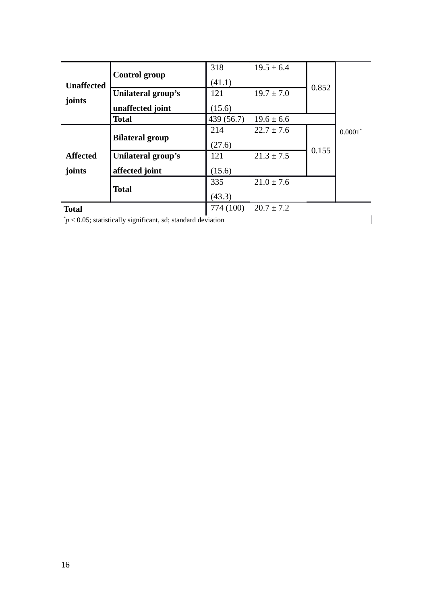| <b>Unaffected</b>                                                  | <b>Control group</b>   | 318        | $19.5 \pm 6.4$ |       |            |  |
|--------------------------------------------------------------------|------------------------|------------|----------------|-------|------------|--|
|                                                                    |                        | (41.1)     |                | 0.852 |            |  |
|                                                                    | Unilateral group's     | 121        | $19.7 \pm 7.0$ |       |            |  |
| joints                                                             | unaffected joint       | (15.6)     |                |       |            |  |
|                                                                    | <b>Total</b>           | 439 (56.7) | $19.6 \pm 6.6$ |       |            |  |
|                                                                    |                        | 214        | $22.7 \pm 7.6$ |       | $0.0001$ * |  |
|                                                                    | <b>Bilateral group</b> | (27.6)     |                | 0.155 |            |  |
| <b>Affected</b>                                                    | Unilateral group's     | 121        | $21.3 \pm 7.5$ |       |            |  |
| joints                                                             | affected joint         | (15.6)     |                |       |            |  |
|                                                                    | <b>Total</b>           | 335        | $21.0 \pm 7.6$ |       |            |  |
|                                                                    |                        | (43.3)     |                |       |            |  |
| <b>Total</b>                                                       |                        | 774 (100)  | $20.7 \pm 7.2$ |       |            |  |
| $\mid p$ < 0.05; statistically significant, sd; standard deviation |                        |            |                |       |            |  |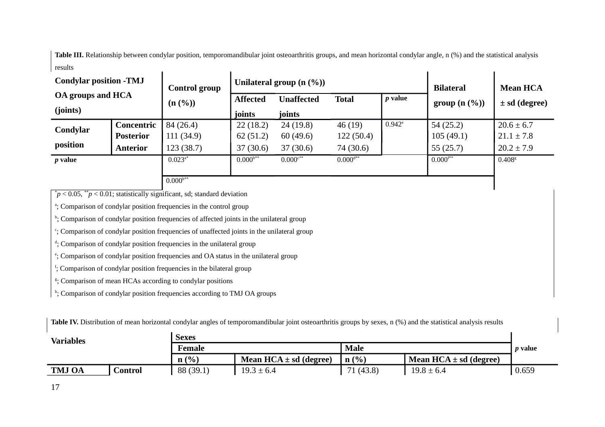**Table III.** Relationship between condylar position, temporomandibular joint osteoarthritis groups, and mean horizontal condylar angle, n (%) and the statistical analysis results

| <b>Condylar position -TMJ</b><br>OA groups and HCA<br>(joints) |                  | Control group | Unilateral group $(n \ (\%))$ |                   |               |                 | <b>Bilateral</b>   | <b>Mean HCA</b> |
|----------------------------------------------------------------|------------------|---------------|-------------------------------|-------------------|---------------|-----------------|--------------------|-----------------|
|                                                                |                  | (n (%))       | <b>Affected</b>               | <b>Unaffected</b> | Total         | <i>p</i> value  | group $(n \ (\%))$ | $± sd$ (degree) |
|                                                                |                  |               | joints                        | joints            |               |                 |                    |                 |
| Condylar                                                       | Concentric       | 84 (26.4)     | 22(18.2)                      | 24(19.8)          | 46 (19)       | $0.942^{\circ}$ | 54(25.2)           | $20.6 \pm 6.7$  |
|                                                                | <b>Posterior</b> | 111 (34.9)    | 62(51.2)                      | 60(49.6)          | 122(50.4)     |                 | 105(49.1)          | $21.1 \pm 7.8$  |
| position                                                       | Anterior         | 123 (38.7)    | 37(30.6)                      | 37(30.6)          | 74 (30.6)     |                 | 55(25.7)           | $20.2 \pm 7.9$  |
| <i>p</i> value                                                 |                  | $0.023^{a*}$  | $0.000^{b**}$                 | $0.000^{c**}$     | $0.000^{4**}$ |                 | $0.000^{f**}$      | $0.408^{\rm g}$ |
|                                                                |                  |               |                               |                   |               |                 |                    |                 |
|                                                                |                  | $0.000^{h**}$ |                               |                   |               |                 |                    |                 |

 $p^*p$  < 0.05,  $p^*p$  < 0.01; statistically significant, sd; standard deviation

<sup>a</sup>; Comparison of condylar position frequencies in the control group

<sup>b</sup>; Comparison of condylar position frequencies of affected joints in the unilateral group

<sup>c</sup>; Comparison of condylar position frequencies of unaffected joints in the unilateral group

<sup>d</sup>; Comparison of condylar position frequencies in the unilateral group

<sup>e</sup>; Comparison of condylar position frequencies and OA status in the unilateral group

<sup>f</sup>; Comparison of condylar position frequencies in the bilateral group

<sup>g</sup>; Comparison of mean HCAs according to condylar positions

h; Comparison of condylar position frequencies according to TMJ OA groups

Table IV. Distribution of mean horizontal condylar angles of temporomandibular joint osteoarthritis groups by sexes, n (%) and the statistical analysis results

| <b>Sexes</b><br><b>Variables</b><br>Female<br>(9/0)<br>$\mathbf n$ |                |           |                            |                     |                            |                |
|--------------------------------------------------------------------|----------------|-----------|----------------------------|---------------------|----------------------------|----------------|
|                                                                    |                |           |                            | <b>Male</b>         |                            | <i>v</i> value |
|                                                                    |                |           | Mean $HCA \pm sd$ (degree) | (% )<br>$\mathbf n$ | Mean $HCA \pm sd$ (degree) |                |
| <b>TMJ OA</b>                                                      | <b>Control</b> | 88 (39.1) | $19.3 \pm 6.4$             | 71 (43.8)           | $19.8 \pm 6.4$             | 0.659          |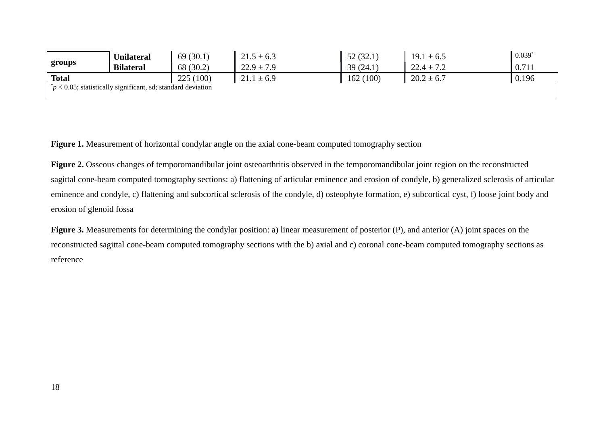|                                                               | Unilateral       | 69 $(30.1)$ | $21.5 \pm 6.3$ | 52(32.1)     | $19.1 \pm 6.5$ | $0.039^{*}$ |  |
|---------------------------------------------------------------|------------------|-------------|----------------|--------------|----------------|-------------|--|
| groups                                                        | <b>Bilateral</b> | 68 (30.2)   | $22.9 \pm 7.9$ | 39(24.1)     | $22.4 \pm 7.2$ | 0.711       |  |
| <b>Total</b>                                                  |                  | 225(100)    | ± 6.9<br>21.1  | (100)<br>162 | $20.2 \pm 6.7$ | 0.196       |  |
| $p$ < 0.05; statistically significant, sd; standard deviation |                  |             |                |              |                |             |  |

**Figure 1.** Measurement of horizontal condylar angle on the axial cone-beam computed tomography section

**Figure 2.** Osseous changes of temporomandibular joint osteoarthritis observed in the temporomandibular joint region on the reconstructed sagittal cone-beam computed tomography sections: a) flattening of articular eminence and erosion of condyle, b) generalized sclerosis of articular eminence and condyle, c) flattening and subcortical sclerosis of the condyle, d) osteophyte formation, e) subcortical cyst, f) loose joint body and erosion of glenoid fossa

**Figure 3.** Measurements for determining the condylar position: a) linear measurement of posterior (P), and anterior (A) joint spaces on the reconstructed sagittal cone-beam computed tomography sections with the b) axial and c) coronal cone-beam computed tomography sections as reference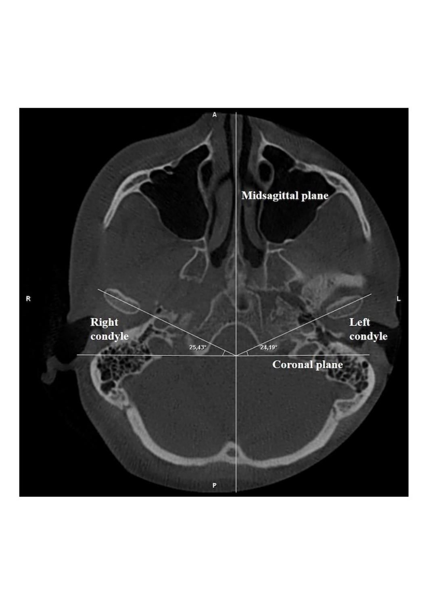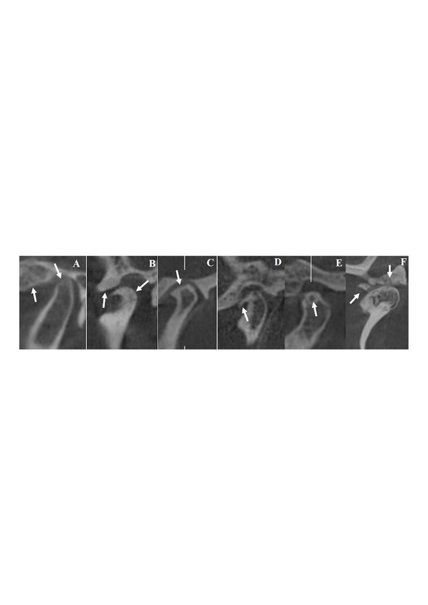